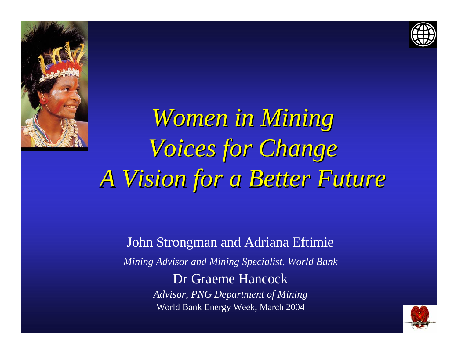



*Women in Mining Women in Mining Voices for Change Voices for Change A Vision for a Better Future A Vision for a Better Future*

> John Strongman and Adriana Eftimie *Mining Advisor and Mining Specialist, World Bank* Dr Graeme Hancock*Advisor, PNG Department of Mining* World Bank Energy Week, March 2004

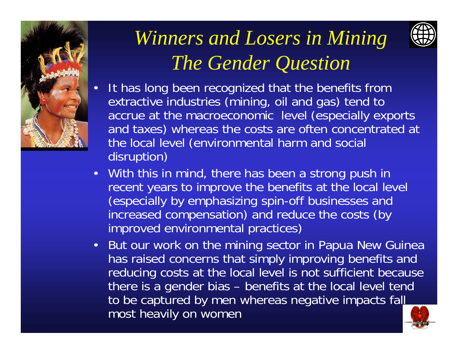



## *Winners and Losers in Mining The Gender Question*

- • It has long been recognized that the benefits from extractive industries (mining, oil and gas) tend to accrue at the macroeconomic level (especially exports and taxes) whereas the costs are often concentrated at the local level (environmental harm and social disruption)
- With this in mind, there has been a strong push in recent years to improve the benefits at the local level (especially by emphasizing spin-off businesses and increased compensation) and reduce the costs (by improved environmental practices)
- But our work on the mining sector in Papua New Guinea has raised concerns that simply improving benefits and reducing costs at the local level is not sufficient because there is a gender bias – benefits at the local level tend to be captured by men whereas negative impacts fall most heavily on women

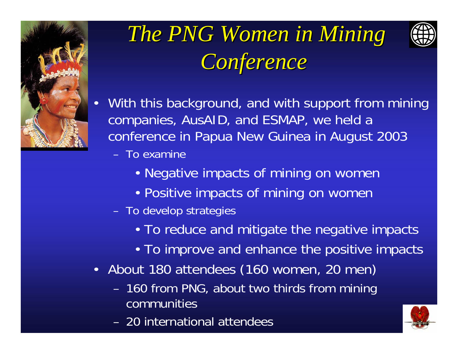

# *The PNG Women in Mining Conference Conference*



- With this background, and with support from mining companies, AusAID, and ESMAP, we held a conference in Papua New Guinea in August 2003
	- To examine
		- Negative impacts of mining on womer
		- Positive impacts of mining on womer
	- To develop strategies
		- To reduce and mitigate the negative impacts
		- To improve and enhance the positive impacts
- About 180 attendees (160 women, 20 men)
	- 160 from PNG, about two thirds from mining communities
	- 20 international attendees

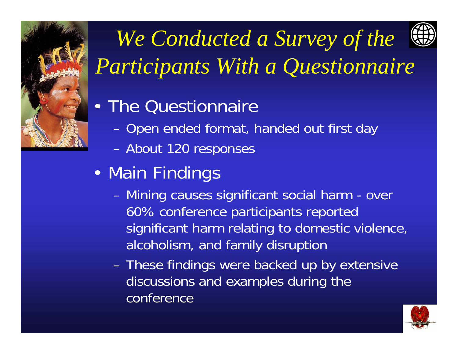

# *We Conducted a Survey of the Participants With a Questionnaire*

## • The Questionnaire

- Open ended format, handed out first day
- About 120 responses
- • Main Findings
	- Mining causes significant social harm over 60% conference participants reported significant harm relating to domestic violence, alcoholism, and family disruption
	- These findings were backed up by extensive discussions and examples during the conference

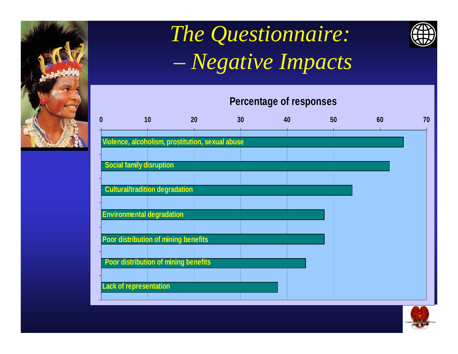

### *The Questionnaire: – Negative Impacts*



### **Percentage of responses**



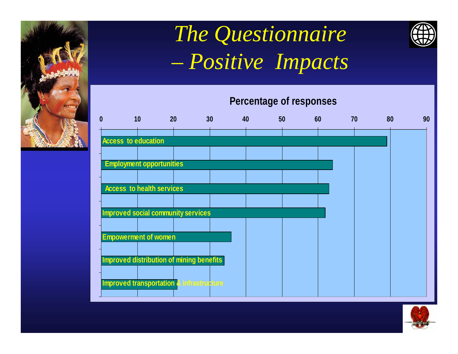

## *The Questionnaire Positive Impacts*







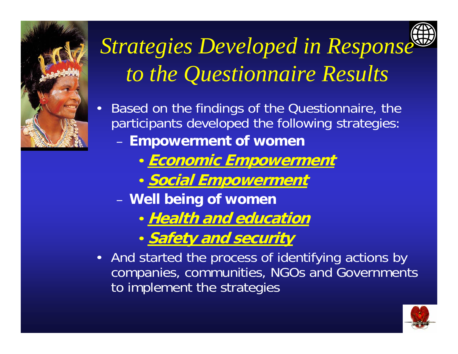

# *Strategies Developed in Response to the Questionnaire Results*

- • Based on the findings of the Questionnaire, the participants developed the following strategies: **Empowerment of women**
	- **Economic Empowerment**
	- **Social Empowerment**
	- **Well being of women**
		- **Health and education**
		- **Safety and security**
- And started the process of identifying actions by companies, communities, NGOs and Governments to implement the strategies

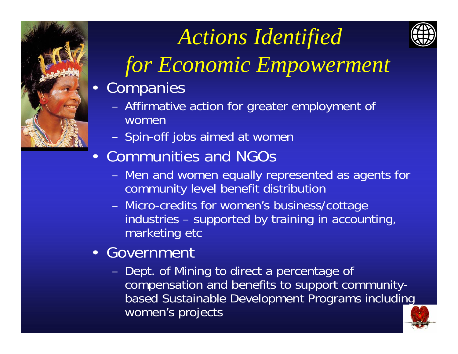

# *Actions Identified*



## *for Economic Empowerment*

- • Companies
	- – Affirmative action for greater employment of women
	- –Spin-off jobs aimed at women
- Communities and NGOs
	- – Men and women equally represented as agents for community level benefit distribution
	- Micro-credits for women's business/cottage industries – supported by training in accounting, marketing etc
- Government
	- – Dept. of Mining to direct a percentage of compensation and benefits to support communitybased Sustainable Development Programs including women's projects

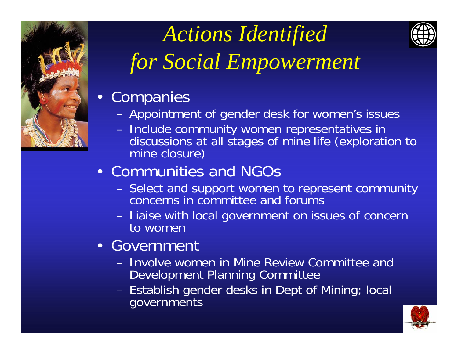

## *Actions Identified for Social Empowerment*

- Companies
	- Appointment of gender desk for women's issues
	- Include community women representatives in discussions at all stages of mine life (exploration to mine closure)

## • Communities and NGOs

- Select and support women to represent community concerns in committee and forums
- Liaise with local government on issues of concern to women
- Government
	- Involve women in Mine Review Committee and Development Planning Committee
	- Establish gender desks in Dept of Mining; local governments



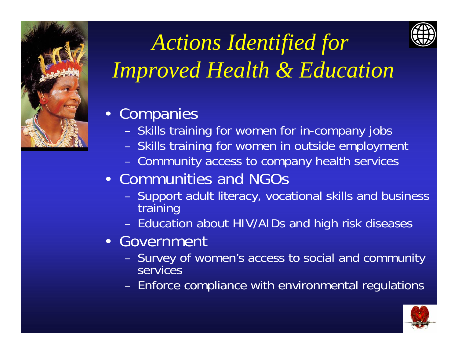



## *Actions Identified for Improved Health & Education*

### • Companies

- Skills training for women for in-company jobs
- Skills training for women in outside employment
- Community access to company health services

## • Communities and NGOs

- Support adult literacy, vocational skills and business training
- Education about HIV/AIDs and high risk diseases
- Government
	- Survey of women's access to social and community **services**
	- Enforce compliance with environmental regulations

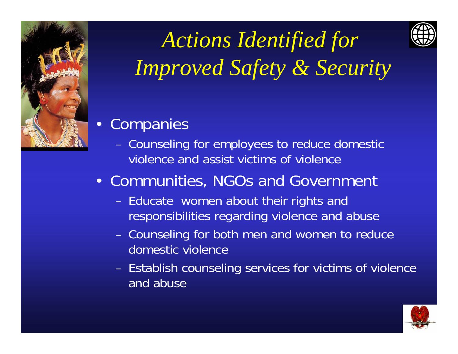



*Actions Identified for Improved Safety & Security*



- – Counseling for employees to reduce domestic violence and assist victims of violence
- Communities, NGOs and Government
	- Educate women about their rights and responsibilities regarding violence and abuse
	- – Counseling for both men and women to reduce domestic violence
	- Establish counseling services for victims of violence and abuse

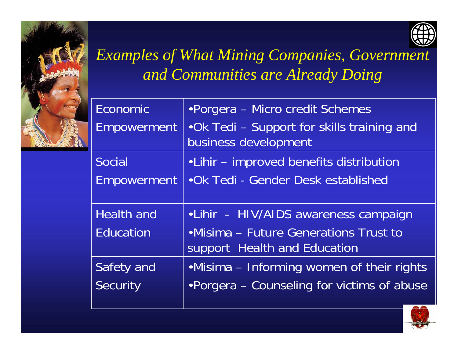



## *Examples of What Mining Companies, Government and Communities are Already Doing*

| <b>Economic</b>    | • Porgera – Micro credit Schemes                                       |
|--------------------|------------------------------------------------------------------------|
| <b>Empowerment</b> | .Ok Tedi - Support for skills training and<br>business development     |
| Social             | • Lihir – improved benefits distribution                               |
| <b>Empowerment</b> | • Ok Tedi - Gender Desk established                                    |
| <b>Health and</b>  | •Lihir - HIV/AIDS awareness campaign                                   |
| <b>Education</b>   | • Misima – Future Generations Trust to<br>support Health and Education |
| Safety and         | •Misima – Informing women of their rights                              |
| Security           | •Porgera - Counseling for victims of abuse                             |
|                    |                                                                        |

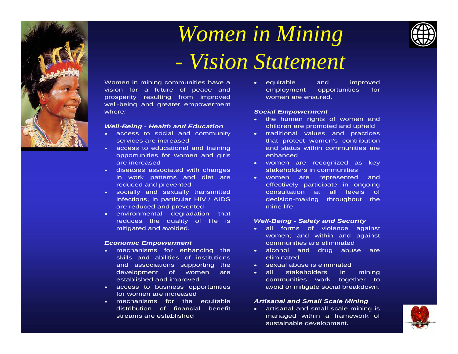

### *Women in Mining - Vision Statement*



Women in mining communities have a vision for a future of peace and prosperity resulting from improved well-being and greater empowerment where*:* 

#### *Well-Being - Health and Education*

- access to social and community services are increased
- access to educational and training opportunities for women and girls are increased
- diseases associated with changes in work patterns and diet are reduced and prevented
- socially and sexually transmitted infections, in particular HIV / AIDS are reduced and prevented
- environmental degradation that reduces the quality of life is mitigated and avoided.

#### *Economic Empowerment*

- mechanisms for enhancing the skills and abilities of institutions and associations supporting the development of women are established and improved
- access to business opportunities for women are increased
- mechanisms for the equitable distribution of financial benefit streams are established

• equitable and improved employment opportunities for women are ensured.

#### *Social Empowerment*

- the human rights of women and children are promoted and upheld
- traditional values and practices that protect women's contribution and status within communities areenhanced
- women are recognized as ke y stakeholders in communities
- women are represented and effectively participate in ongoing consultation at all levels of decision-making throughout the mine life.

#### *Well-Being - Safety and Security*

- $\bullet$  all forms of violence against women; and within and against communities are eliminated
- alcohol and drug abuse are eliminated
- sexual abuse is eliminated
- • all stakeholders in mining communities work together to avoid or mitigate social breakdown.

#### *Artisanal and Small Scale Mining*

• artisanal and small scale mining is managed within a framework of sustainable development.

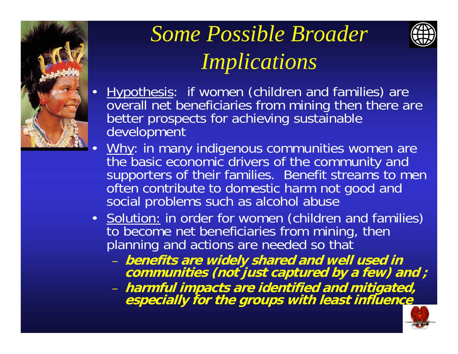

## *Some Possible Broader Implications*



### Hypothesis: if women (children and families) are overall net beneficiaries from mining then there are better prospects for achieving sustainable development

- Why: in many indigenous communities women are the basic economic drivers of the community and supporters of their families. Benefit streams to men often contribute to domestic harm not good and social problems such as alcohol abuse
- Solution: in order for women (children and families) to become net beneficiaries from mining, then planning and actions are needed so that
	- benefits are widely shared and well used in communities (not just captured by a few) and ;
	- – **harmful impacts are identified and mitigated, especially for the groups with least influence**